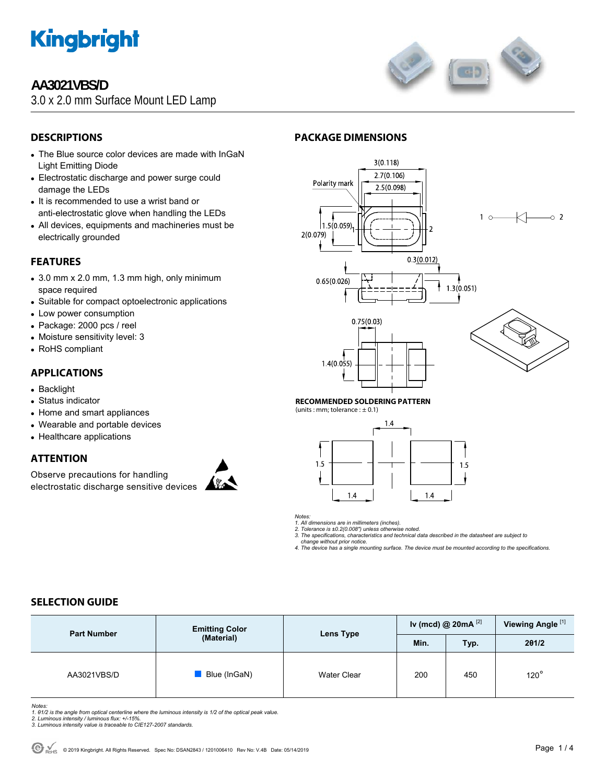

## **AA3021VBS/D**

3.0 x 2.0 mm Surface Mount LED Lamp



### **DESCRIPTIONS**

- The Blue source color devices are made with InGaN Light Emitting Diode
- Electrostatic discharge and power surge could damage the LEDs
- It is recommended to use a wrist band or anti-electrostatic glove when handling the LEDs
- All devices, equipments and machineries must be electrically grounded

### **FEATURES**

- $\bullet$  3.0 mm x 2.0 mm, 1.3 mm high, only minimum space required
- Suitable for compact optoelectronic applications
- Low power consumption
- Package: 2000 pcs / reel
- Moisture sensitivity level: 3
- RoHS compliant

#### **APPLICATIONS**

- Backlight
- Status indicator
- Home and smart appliances
- Wearable and portable devices
- Healthcare applications

#### **ATTENTION**

Observe precautions for handling electrostatic discharge sensitive devices







#### **RECOMMENDED SOLDERING PATTERN**

(units : mm; tolerance :  $\pm$  0.1)



*Notes:* 

*1. All dimensions are in millimeters (inches). 2. Tolerance is ±0.2(0.008") unless otherwise noted.* 

*3. The specifications, characteristics and technical data described in the datasheet are subject to* 

 *change without prior notice.* 

*4. The device has a single mounting surface. The device must be mounted according to the specifications.* 

#### **SELECTION GUIDE**

| <b>Part Number</b> | <b>Emitting Color</b><br>(Material) | Lens Type          | Iv (mcd) @ 20mA $^{[2]}$ |      | Viewing Angle <sup>[1]</sup> |
|--------------------|-------------------------------------|--------------------|--------------------------|------|------------------------------|
|                    |                                     |                    | Min.                     | Typ. | 201/2                        |
| AA3021VBS/D        | Blue (InGaN)                        | <b>Water Clear</b> | 200                      | 450  | $120^\circ$                  |

*Notes:* 

1. 01/2 is the angle from optical centerline where the luminous intensity is 1/2 of the optical peak value.<br>2. Luminous intensity / luminous flux: +/-15%.<br>3. Luminous intensity value is traceable to CIE127-2007 standards.

- 
-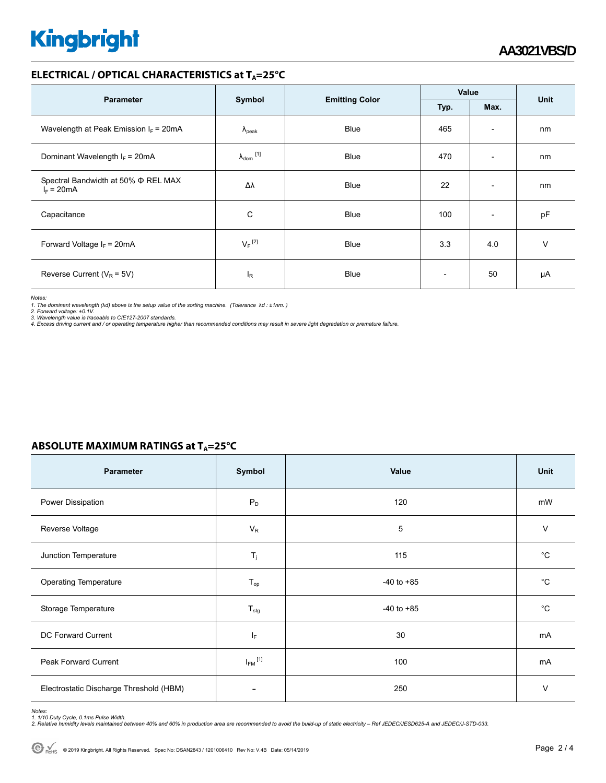# **Kingbright**

#### **ELECTRICAL / OPTICAL CHARACTERISTICS at T<sub>A</sub>=25°C**

|                                                          |                            |                       | Value                    |                          | Unit |
|----------------------------------------------------------|----------------------------|-----------------------|--------------------------|--------------------------|------|
| <b>Parameter</b>                                         | Symbol                     | <b>Emitting Color</b> | Typ.<br>Max.             |                          |      |
| Wavelength at Peak Emission $I_F$ = 20mA                 | $\lambda_{\rm peak}$       | <b>Blue</b>           | 465                      | $\overline{\phantom{a}}$ | nm   |
| Dominant Wavelength $I_F = 20 \text{mA}$                 | $\lambda_{\text{dom}}$ [1] | <b>Blue</b>           | 470                      | $\overline{\phantom{0}}$ | nm   |
| Spectral Bandwidth at 50% $\Phi$ REL MAX<br>$I_F = 20mA$ | Δλ                         | <b>Blue</b>           | 22                       | $\overline{\phantom{a}}$ | nm   |
| Capacitance                                              | C                          | <b>Blue</b>           | 100                      | $\overline{\phantom{a}}$ | pF   |
| Forward Voltage $I_F$ = 20mA                             | $V_F$ <sup>[2]</sup>       | <b>Blue</b>           | 3.3                      | 4.0                      | v    |
| Reverse Current ( $V_R$ = 5V)                            | l <sub>R</sub>             | <b>Blue</b>           | $\overline{\phantom{a}}$ | 50                       | μA   |

*Notes:* 

1. The dominant wavelength (λd) above is the setup value of the sorting machine. (Tolerance λd : ±1nm. )<br>2. Forward voltage: ±0.1V.<br>3. Wavelength value is traceable to CIE127-2007 standards.<br>4. Excess driving current and

#### **ABSOLUTE MAXIMUM RATINGS at T<sub>A</sub>=25°C**

| Parameter                               | Symbol                   | Value          | Unit        |
|-----------------------------------------|--------------------------|----------------|-------------|
| Power Dissipation                       | $P_D$                    | 120            | mW          |
| Reverse Voltage                         | $V_R$                    | 5              | $\vee$      |
| Junction Temperature                    | $\mathsf{T}_j$           | 115            | $^{\circ}C$ |
| <b>Operating Temperature</b>            | $T_{op}$                 | $-40$ to $+85$ | $^{\circ}C$ |
| Storage Temperature                     | $T_{\text{stg}}$         | $-40$ to $+85$ | $^{\circ}C$ |
| DC Forward Current                      | $I_F$                    | 30             | mA          |
| <b>Peak Forward Current</b>             | $I_{FM}$ <sup>[1]</sup>  | 100            | mA          |
| Electrostatic Discharge Threshold (HBM) | $\overline{\phantom{0}}$ | 250            | V           |

Notes:<br>1. 1/10 Duty Cycle, 0.1ms Pulse Width.<br>2. Relative humidity levels maintained between 40% and 60% in production area are recommended to avoid the build-up of static electricity – Ref JEDEC/JESD625-A and JEDEC/J-STD-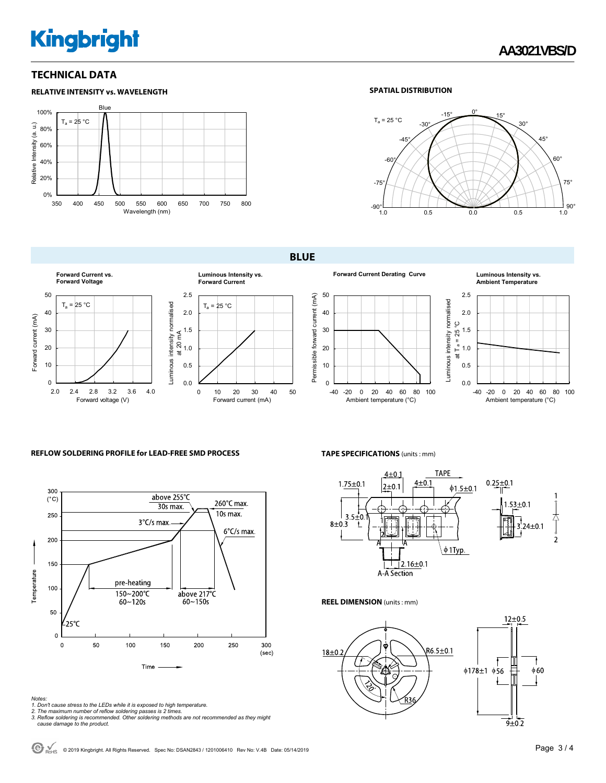## **Kingbright**

#### **TECHNICAL DATA**



#### **SPATIAL DISTRIBUTION**



**BLUE** 



## **Forward Current Derating Curve Luminous Intensity vs.**



### **Ambient Temperature**



#### **REFLOW SOLDERING PROFILE for LEAD-FREE SMD PROCESS**



## **TAPE SPECIFICATIONS** (units : mm)



#### **REEL DIMENSION** (units : mm)



- 
- Notes:<br>1. Don't cause stress to the LEDs while it is exposed to high temperature.<br>2. The maximum number of reflow soldering passes is 2 times.<br>3. Reflow soldering is recommended. Other soldering methods are not recommended
-